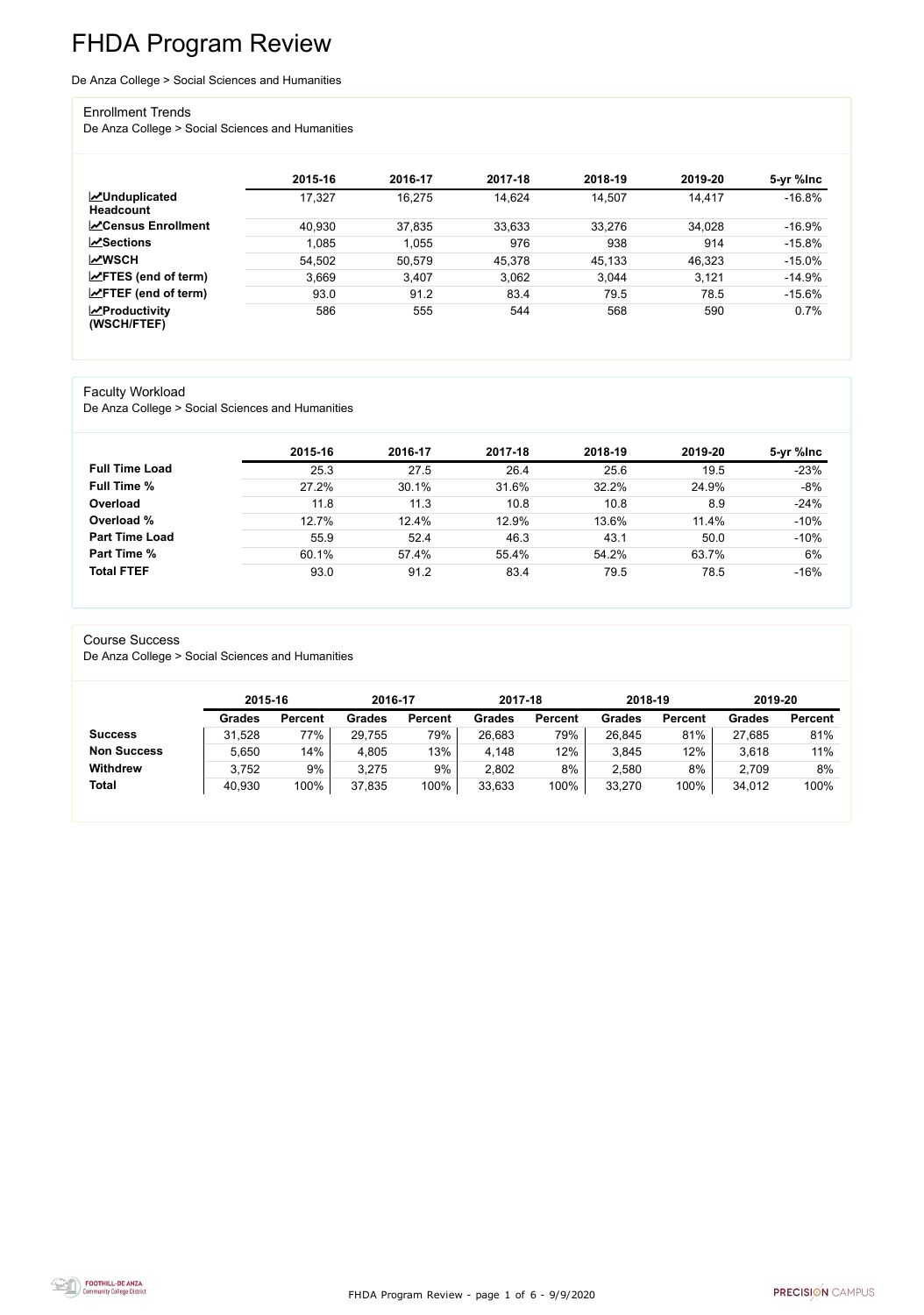FHDA Program Review - page 1 of 6 - 9/9/2020



# FHDA Program Review

De Anza College > Social Sciences and Humanities

#### Enrollment Trends

De Anza College > Social Sciences and Humanities

|                                          | 2015-16 | 2016-17 | 2017-18 | 2018-19 | 2019-20 | 5-yr %lnc |
|------------------------------------------|---------|---------|---------|---------|---------|-----------|
| <b>MUnduplicated</b><br><b>Headcount</b> | 17,327  | 16,275  | 14,624  | 14,507  | 14,417  | $-16.8%$  |
| <b>∠</b> Census Enrollment               | 40,930  | 37,835  | 33,633  | 33,276  | 34,028  | $-16.9%$  |
| <b>ZSections</b>                         | 1,085   | 1,055   | 976     | 938     | 914     | $-15.8%$  |
| <b>MWSCH</b>                             | 54,502  | 50,579  | 45,378  | 45,133  | 46,323  | $-15.0\%$ |
| $\angle$ FTES (end of term)              | 3.669   | 3,407   | 3,062   | 3,044   | 3,121   | $-14.9%$  |
| $\angle$ FTEF (end of term)              | 93.0    | 91.2    | 83.4    | 79.5    | 78.5    | $-15.6%$  |
| $\chi$ Productivity<br>(WSCH/FTEF)       | 586     | 555     | 544     | 568     | 590     | 0.7%      |

#### Faculty Workload

De Anza College > Social Sciences and Humanities

|                       | 2015-16 | 2016-17 | 2017-18 | 2018-19 | 2019-20 | 5-yr %lnc |
|-----------------------|---------|---------|---------|---------|---------|-----------|
| <b>Full Time Load</b> | 25.3    | 27.5    | 26.4    | 25.6    | 19.5    | $-23%$    |
| <b>Full Time %</b>    | 27.2%   | 30.1%   | 31.6%   | 32.2%   | 24.9%   | $-8%$     |
| Overload              | 11.8    | 11.3    | 10.8    | 10.8    | 8.9     | $-24%$    |
| Overload %            | 12.7%   | 12.4%   | 12.9%   | 13.6%   | 11.4%   | $-10%$    |
| <b>Part Time Load</b> | 55.9    | 52.4    | 46.3    | 43.1    | 50.0    | $-10%$    |
| <b>Part Time %</b>    | 60.1%   | 57.4%   | 55.4%   | 54.2%   | 63.7%   | 6%        |
| <b>Total FTEF</b>     | 93.0    | 91.2    | 83.4    | 79.5    | 78.5    | $-16%$    |

#### Course Success

De Anza College > Social Sciences and Humanities

|                    |               | 2015-16        |               | 2016-17        | 2017-18       |                | 2018-19       |                | 2019-20       |                |
|--------------------|---------------|----------------|---------------|----------------|---------------|----------------|---------------|----------------|---------------|----------------|
|                    | <b>Grades</b> | <b>Percent</b> | <b>Grades</b> | <b>Percent</b> | <b>Grades</b> | <b>Percent</b> | <b>Grades</b> | <b>Percent</b> | <b>Grades</b> | <b>Percent</b> |
| <b>Success</b>     | 31,528        | 77%            | 29,755        | 79%            | 26,683        | 79%            | 26,845        | 81%            | 27,685        | 81%            |
| <b>Non Success</b> | 5,650         | 14%            | 4,805         | 13%            | 4,148         | 12%            | 3,845         | 12%            | 3,618         | 11%            |
| <b>Withdrew</b>    | 3,752         | 9%             | 3,275         | 9%             | 2,802         | 8%             | 2,580         | 8%             | 2,709         | 8%             |
| <b>Total</b>       | 40,930        | 100%           | 37,835        | 100%           | 33,633        | 100%           | 33,270        | 100%           | 34,012        | 100%           |

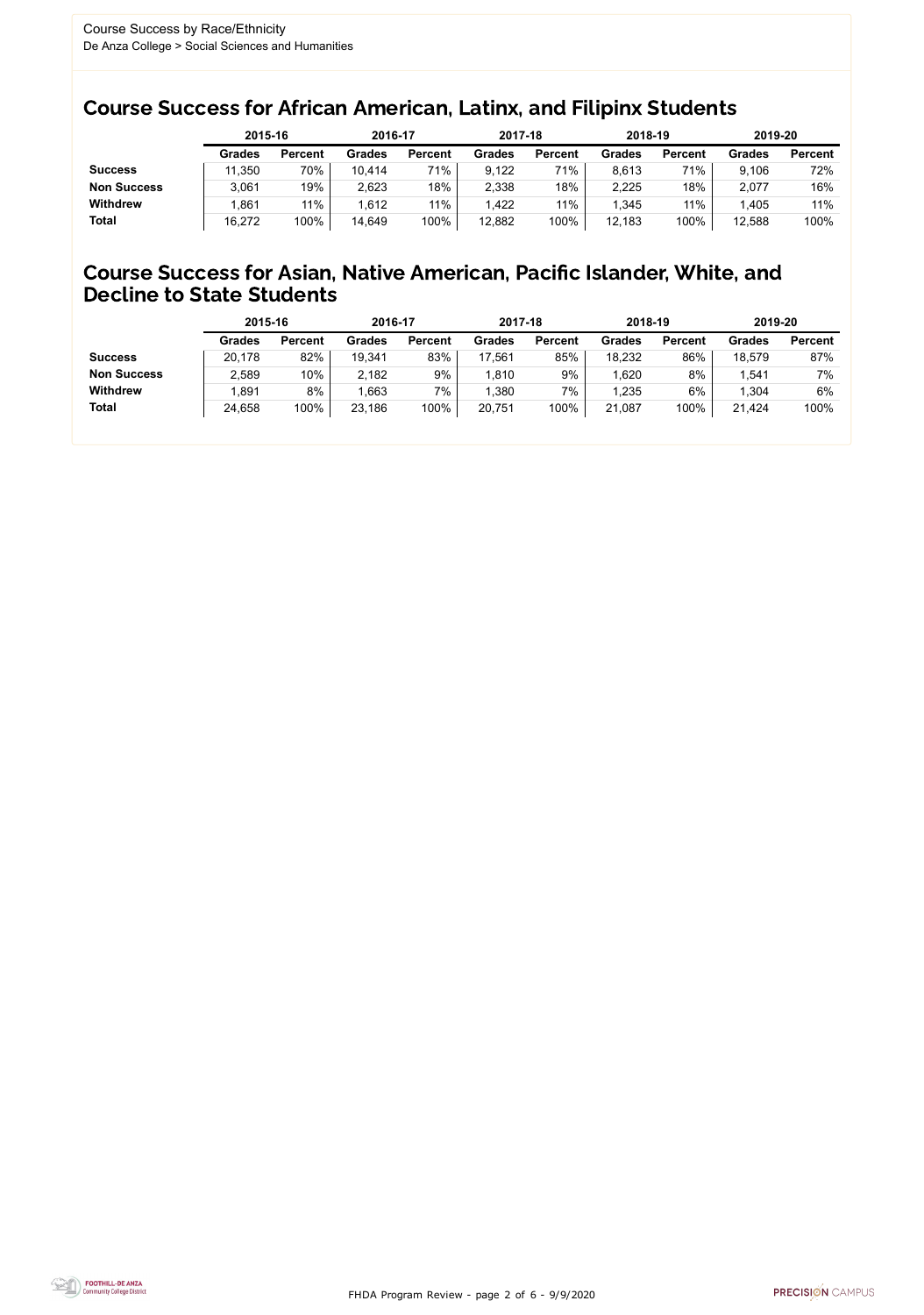FHDA Program Review - page 2 of 6 - 9/9/2020



### Course Success for African American, Latinx, and Filipinx Students

### Course Success for Asian, Native American, Pacific Islander, White, and Decline to State Students

|                    |               | 2015-16        |               | 2016-17        |               | 2017-18        | 2018-19       |                | 2019-20       |                |
|--------------------|---------------|----------------|---------------|----------------|---------------|----------------|---------------|----------------|---------------|----------------|
|                    | <b>Grades</b> | <b>Percent</b> | <b>Grades</b> | <b>Percent</b> | <b>Grades</b> | <b>Percent</b> | <b>Grades</b> | <b>Percent</b> | <b>Grades</b> | <b>Percent</b> |
| <b>Success</b>     | 11,350        | 70%            | 10,414        | 71%            | 9,122         | 71%            | 8,613         | 71%            | 9,106         | 72%            |
| <b>Non Success</b> | 3,061         | 19%            | 2,623         | 18%            | 2,338         | 18%            | 2,225         | 18%            | 2,077         | 16%            |
| <b>Withdrew</b>    | ,861          | 11%            | 1,612         | 11%            | 1,422         | 11%            | .345          | 11%            | 1,405         | 11%            |
| <b>Total</b>       | 16,272        | 100%           | 14,649        | 100%           | 12,882        | 100%           | 12,183        | 100%           | 12,588        | 100%           |

|                    | 2015-16       |                | 2016-17       |                | 2017-18       |                | 2018-19       |                | 2019-20       |                |
|--------------------|---------------|----------------|---------------|----------------|---------------|----------------|---------------|----------------|---------------|----------------|
|                    | <b>Grades</b> | <b>Percent</b> | <b>Grades</b> | <b>Percent</b> | <b>Grades</b> | <b>Percent</b> | <b>Grades</b> | <b>Percent</b> | <b>Grades</b> | <b>Percent</b> |
| <b>Success</b>     | 20,178        | 82%            | 19,341        | 83%            | 17,561        | 85%            | 18,232        | 86%            | 18,579        | 87%            |
| <b>Non Success</b> | 2,589         | 10%            | 2,182         | 9%             | 1,810         | 9%             | 1,620         | 8%             | 1,541         | 7%             |
| <b>Withdrew</b>    | ,891          | 8%             | 1,663         | 7%             | 1,380         | 7%             | 1,235         | 6%             | 1,304         | 6%             |
| <b>Total</b>       | 24,658        | 100%           | 23,186        | 100%           | 20,751        | 100%           | 21,087        | 100%           | 21,424        | 100%           |
|                    |               |                |               |                |               |                |               |                |               |                |

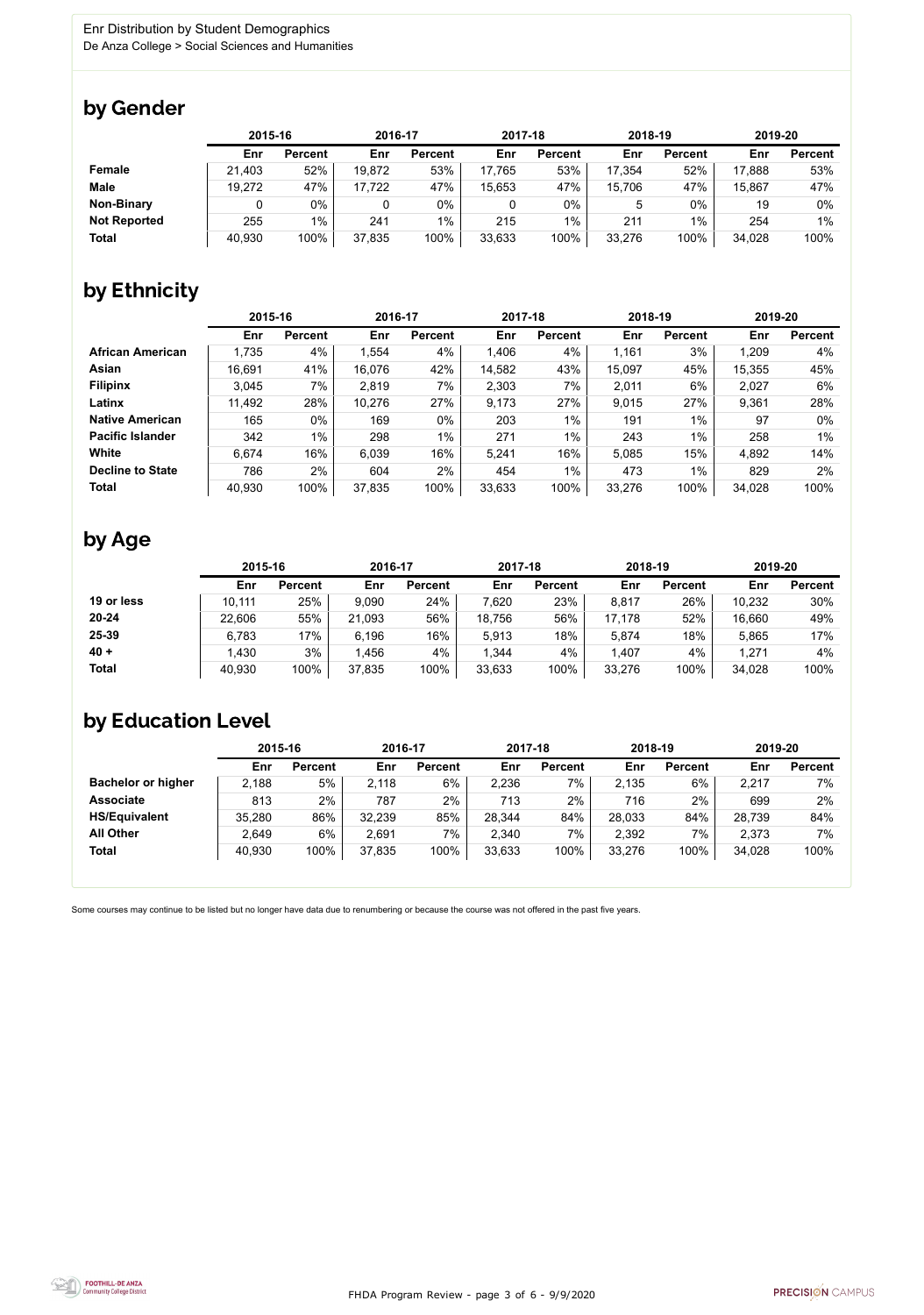FHDA Program Review - page 3 of 6 - 9/9/2020



Some courses may continue to be listed but no longer have data due to renumbering or because the course was not offered in the past five years.



### by Gender

|                     |        | 2015-16        |        | 2016-17        |        | 2017-18        |        | 2018-19        |        | 2019-20        |  |
|---------------------|--------|----------------|--------|----------------|--------|----------------|--------|----------------|--------|----------------|--|
|                     | Enr    | <b>Percent</b> | Enr    | <b>Percent</b> | Enr    | <b>Percent</b> | Enr    | <b>Percent</b> | Enr    | <b>Percent</b> |  |
| <b>Female</b>       | 21,403 | 52%            | 19,872 | 53%            | 17,765 | 53%            | 17,354 | 52%            | 17,888 | 53%            |  |
| <b>Male</b>         | 19,272 | 47%            | 17,722 | 47%            | 15,653 | 47%            | 15,706 | 47%            | 15,867 | 47%            |  |
| <b>Non-Binary</b>   |        | 0%             |        | 0%             | 0      | 0%             |        | $0\%$          | 19     | 0%             |  |
| <b>Not Reported</b> | 255    | $1\%$          | 241    | $1\%$          | 215    | $1\%$          | 211    | 1%             | 254    | 1%             |  |
| <b>Total</b>        | 40,930 | 100%           | 37,835 | 100%           | 33,633 | 100%           | 33,276 | 100%           | 34,028 | 100%           |  |

## by Ethnicity

|                         |        | 2015-16        |        | 2016-17        |        | 2017-18        | 2018-19 |                | 2019-20 |                |
|-------------------------|--------|----------------|--------|----------------|--------|----------------|---------|----------------|---------|----------------|
|                         | Enr    | <b>Percent</b> | Enr    | <b>Percent</b> | Enr    | <b>Percent</b> | Enr     | <b>Percent</b> | Enr     | <b>Percent</b> |
| <b>African American</b> | 1,735  | 4%             | 1,554  | 4%             | 1,406  | 4%             | 1,161   | 3%             | 1,209   | 4%             |
| Asian                   | 16,691 | 41%            | 16,076 | 42%            | 14,582 | 43%            | 15,097  | 45%            | 15,355  | 45%            |
| <b>Filipinx</b>         | 3,045  | 7%             | 2,819  | 7%             | 2,303  | 7%             | 2,011   | 6%             | 2,027   | $6\%$          |
| Latinx                  | 11,492 | 28%            | 10,276 | 27%            | 9,173  | 27%            | 9,015   | 27%            | 9,361   | 28%            |
| <b>Native American</b>  | 165    | $0\%$          | 169    | 0%             | 203    | $1\%$          | 191     | 1%             | 97      | 0%             |
| <b>Pacific Islander</b> | 342    | $1\%$          | 298    | $1\%$          | 271    | $1\%$          | 243     | 1%             | 258     | $1\%$          |
| White                   | 6,674  | 16%            | 6,039  | 16%            | 5,241  | 16%            | 5,085   | 15%            | 4,892   | 14%            |
| <b>Decline to State</b> | 786    | 2%             | 604    | 2%             | 454    | $1\%$          | 473     | $1\%$          | 829     | 2%             |
| <b>Total</b>            | 40,930 | 100%           | 37,835 | 100%           | 33,633 | 100%           | 33,276  | 100%           | 34,028  | 100%           |

## by Age

|              | 2015-16 |                | 2016-17 |                | 2017-18 |                | 2018-19 |                | 2019-20 |                |
|--------------|---------|----------------|---------|----------------|---------|----------------|---------|----------------|---------|----------------|
|              | Enr     | <b>Percent</b> | Enr     | <b>Percent</b> | Enr     | <b>Percent</b> | Enr     | <b>Percent</b> | Enr     | <b>Percent</b> |
| 19 or less   | 10,111  | 25%            | 9,090   | 24%            | 7,620   | 23%            | 8,817   | 26%            | 10,232  | 30%            |
| $20 - 24$    | 22,606  | 55%            | 21,093  | 56%            | 18,756  | 56%            | 17,178  | 52%            | 16,660  | 49%            |
| 25-39        | 6,783   | 17%            | 6,196   | 16%            | 5,913   | 18%            | 5,874   | 18%            | 5,865   | 17%            |
| $40 +$       | 1,430   | 3%             | .456    | 4%             | 1,344   | 4%             | 1,407   | 4%             | 1,271   | 4%             |
| <b>Total</b> | 40,930  | 100%           | 37,835  | 100%           | 33,633  | 100%           | 33,276  | 100%           | 34,028  | 100%           |

### by Education Level

|                           | 2015-16 |                | 2016-17 |                | 2017-18 |                | 2018-19 |                | 2019-20 |                |
|---------------------------|---------|----------------|---------|----------------|---------|----------------|---------|----------------|---------|----------------|
|                           | Enr     | <b>Percent</b> | Enr     | <b>Percent</b> | Enr     | <b>Percent</b> | Enr     | <b>Percent</b> | Enr     | <b>Percent</b> |
| <b>Bachelor or higher</b> | 2,188   | 5%             | 2,118   | 6%             | 2,236   | 7%             | 2,135   | 6%             | 2,217   | 7%             |
| <b>Associate</b>          | 813     | 2%             | 787     | $2\%$          | 713     | 2%             | 716     | 2%             | 699     | 2%             |
| <b>HS/Equivalent</b>      | 35,280  | 86%            | 32,239  | 85%            | 28,344  | 84%            | 28,033  | 84%            | 28,739  | 84%            |
| <b>All Other</b>          | 2,649   | 6%             | 2,691   | 7%             | 2,340   | 7%             | 2,392   | 7%             | 2,373   | 7%             |
| <b>Total</b>              | 40,930  | 100%           | 37,835  | 100%           | 33,633  | 100%           | 33,276  | 100%           | 34,028  | 100%           |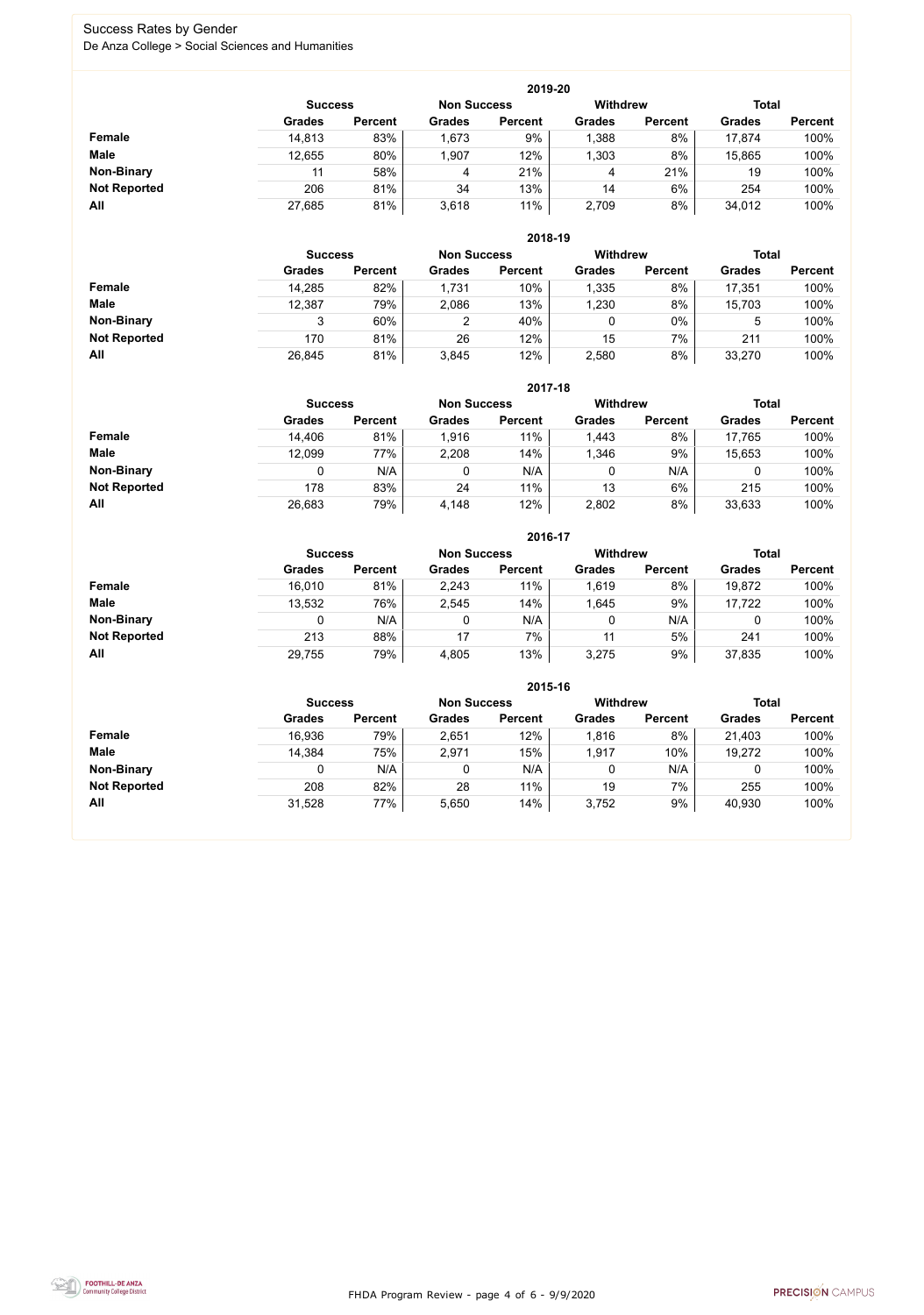FHDA Program Review - page 4 of 6 - 9/9/2020



### Success Rates by Gender De Anza College > Social Sciences and Humanities

|                     | 2019-20        |                |                    |                |                 |                |               |                |  |  |  |  |
|---------------------|----------------|----------------|--------------------|----------------|-----------------|----------------|---------------|----------------|--|--|--|--|
|                     | <b>Success</b> |                | <b>Non Success</b> |                | <b>Withdrew</b> |                | <b>Total</b>  |                |  |  |  |  |
|                     | <b>Grades</b>  | <b>Percent</b> | <b>Grades</b>      | <b>Percent</b> | <b>Grades</b>   | <b>Percent</b> | <b>Grades</b> | <b>Percent</b> |  |  |  |  |
| Female              | 14,813         | 83%            | 1,673              | 9%             | 1,388           | 8%             | 17,874        | 100%           |  |  |  |  |
| <b>Male</b>         | 12,655         | 80%            | 1,907              | 12%            | 1,303           | 8%             | 15,865        | 100%           |  |  |  |  |
| <b>Non-Binary</b>   | 11             | 58%            | 4                  | 21%            | 4               | 21%            | 19            | 100%           |  |  |  |  |
| <b>Not Reported</b> | 206            | 81%            | 34                 | 13%            | 14              | 6%             | 254           | 100%           |  |  |  |  |
| All                 | 27,685         | 81%            | 3,618              | 11%            | 2,709           | 8%             | 34,012        | 100%           |  |  |  |  |

|                     |               | 2018-19                              |               |                |               |                 |               |                |  |  |  |  |  |
|---------------------|---------------|--------------------------------------|---------------|----------------|---------------|-----------------|---------------|----------------|--|--|--|--|--|
|                     |               | <b>Non Success</b><br><b>Success</b> |               |                |               | <b>Withdrew</b> | <b>Total</b>  |                |  |  |  |  |  |
|                     | <b>Grades</b> | <b>Percent</b>                       | <b>Grades</b> | <b>Percent</b> | <b>Grades</b> | <b>Percent</b>  | <b>Grades</b> | <b>Percent</b> |  |  |  |  |  |
| Female              | 14,285        | 82%                                  | 1,731         | 10%            | 1,335         | 8%              | 17,351        | 100%           |  |  |  |  |  |
| <b>Male</b>         | 12,387        | 79%                                  | 2,086         | 13%            | 1,230         | 8%              | 15,703        | 100%           |  |  |  |  |  |
| <b>Non-Binary</b>   | ◠             | 60%                                  | ົ             | 40%            | 0             | $0\%$           | 5             | 100%           |  |  |  |  |  |
| <b>Not Reported</b> | 170           | 81%                                  | 26            | 12%            | 15            | 7%              | 211           | 100%           |  |  |  |  |  |
| All                 | 26,845        | 81%                                  | 3,845         | 12%            | 2,580         | 8%              | 33,270        | 100%           |  |  |  |  |  |

|                     |               | 2017-18                                                                 |               |                |               |                |               |                |  |  |  |  |  |
|---------------------|---------------|-------------------------------------------------------------------------|---------------|----------------|---------------|----------------|---------------|----------------|--|--|--|--|--|
|                     |               | <b>Withdrew</b><br><b>Total</b><br><b>Non Success</b><br><b>Success</b> |               |                |               |                |               |                |  |  |  |  |  |
|                     | <b>Grades</b> | <b>Percent</b>                                                          | <b>Grades</b> | <b>Percent</b> | <b>Grades</b> | <b>Percent</b> | <b>Grades</b> | <b>Percent</b> |  |  |  |  |  |
| Female              | 14,406        | 81%                                                                     | 1,916         | 11%            | 1,443         | 8%             | 17,765        | 100%           |  |  |  |  |  |
| <b>Male</b>         | 12,099        | 77%                                                                     | 2,208         | 14%            | 1,346         | 9%             | 15,653        | 100%           |  |  |  |  |  |
| <b>Non-Binary</b>   | 0             | N/A                                                                     |               | N/A            | 0             | N/A            | 0             | 100%           |  |  |  |  |  |
| <b>Not Reported</b> | 178           | 83%                                                                     | 24            | 11%            | 13            | 6%             | 215           | 100%           |  |  |  |  |  |
| All                 | 26,683        | 79%                                                                     | 4,148         | 12%            | 2,802         | 8%             | 33,633        | 100%           |  |  |  |  |  |

|                     |                |                |                    | 2016-17        |                 |                |               |                |
|---------------------|----------------|----------------|--------------------|----------------|-----------------|----------------|---------------|----------------|
|                     | <b>Success</b> |                | <b>Non Success</b> |                | <b>Withdrew</b> |                | <b>Total</b>  |                |
|                     | <b>Grades</b>  | <b>Percent</b> | <b>Grades</b>      | <b>Percent</b> | <b>Grades</b>   | <b>Percent</b> | <b>Grades</b> | <b>Percent</b> |
| Female              | 16,010         | 81%            | 2,243              | 11%            | 1,619           | 8%             | 19,872        | 100%           |
| <b>Male</b>         | 13,532         | 76%            | 2,545              | 14%            | 1,645           | 9%             | 17,722        | 100%           |
| <b>Non-Binary</b>   | 0              | N/A            |                    | N/A            | 0               | N/A            |               | 100%           |
| <b>Not Reported</b> | 213            | 88%            | 17                 | 7%             | 11              | 5%             | 241           | 100%           |
| All                 | 29,755         | 79%            | 4,805              | 13%            | 3,275           | 9%             | 37,835        | 100%           |

|                     |               | 2015-16                                                                 |               |                |               |                |               |                |  |  |
|---------------------|---------------|-------------------------------------------------------------------------|---------------|----------------|---------------|----------------|---------------|----------------|--|--|
|                     |               | <b>Total</b><br><b>Withdrew</b><br><b>Non Success</b><br><b>Success</b> |               |                |               |                |               |                |  |  |
|                     | <b>Grades</b> | <b>Percent</b>                                                          | <b>Grades</b> | <b>Percent</b> | <b>Grades</b> | <b>Percent</b> | <b>Grades</b> | <b>Percent</b> |  |  |
| <b>Female</b>       | 16,936        | 79%                                                                     | 2,651         | 12%            | 1,816         | 8%             | 21,403        | 100%           |  |  |
| <b>Male</b>         | 14,384        | 75%                                                                     | 2,971         | 15%            | 1,917         | 10%            | 19,272        | 100%           |  |  |
| <b>Non-Binary</b>   |               | N/A                                                                     | 0             | N/A            |               | N/A            |               | 100%           |  |  |
| <b>Not Reported</b> | 208           | 82%                                                                     | 28            | 11%            | 19            | 7%             | 255           | 100%           |  |  |
| All                 | 31,528        | 77%                                                                     | 5,650         | 14%            | 3,752         | 9%             | 40,930        | 100%           |  |  |

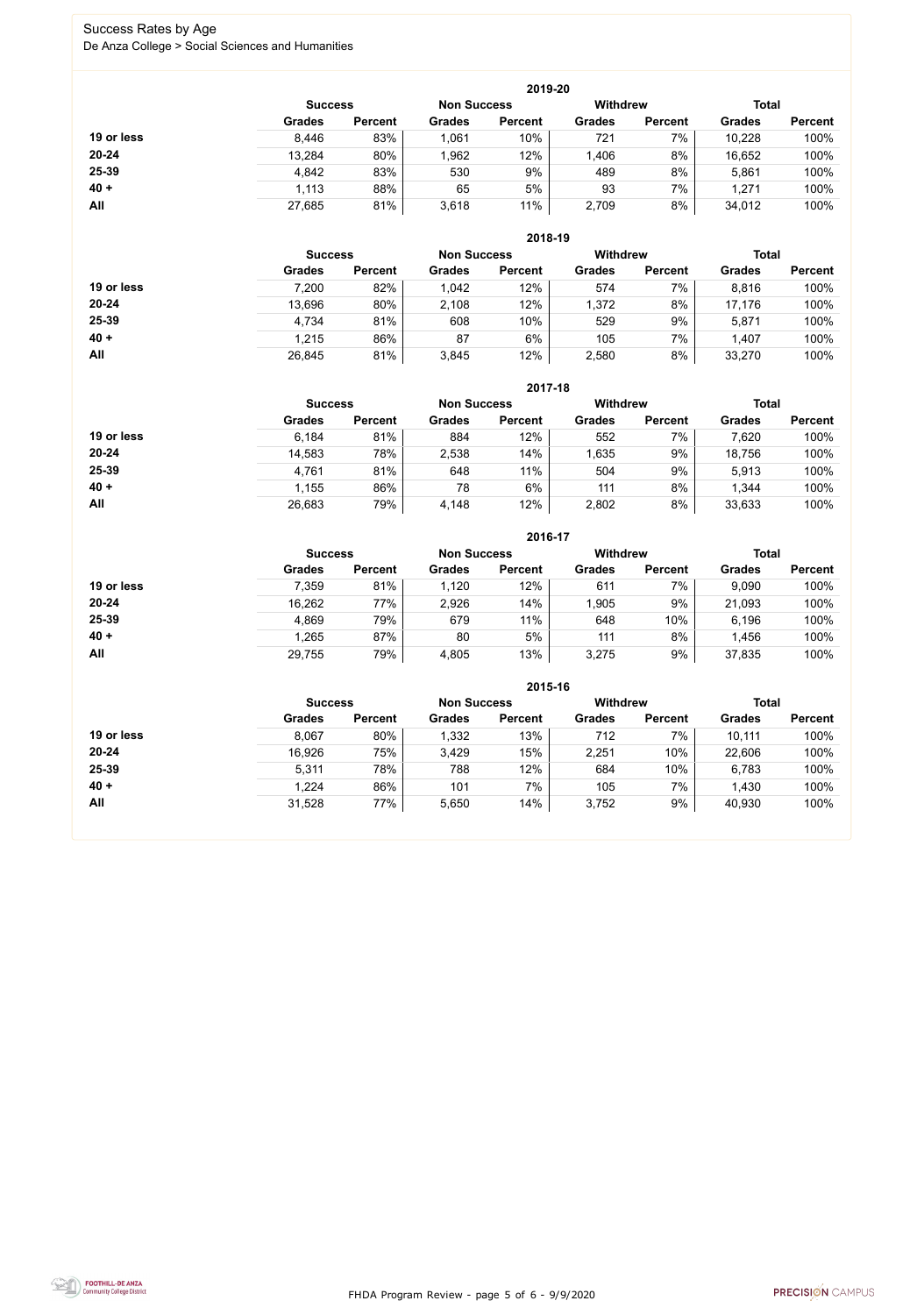FHDA Program Review - page 5 of 6 - 9/9/2020



### Success Rates by Age De Anza College > Social Sciences and Humanities

|            | 2019-20       |                |               |                |                 |                |               |                |  |
|------------|---------------|----------------|---------------|----------------|-----------------|----------------|---------------|----------------|--|
|            |               | <b>Success</b> |               |                | <b>Withdrew</b> |                | <b>Total</b>  |                |  |
|            | <b>Grades</b> | <b>Percent</b> | <b>Grades</b> | <b>Percent</b> | <b>Grades</b>   | <b>Percent</b> | <b>Grades</b> | <b>Percent</b> |  |
| 19 or less | 8,446         | 83%            | 1,061         | 10%            | 721             | 7%             | 10,228        | 100%           |  |
| $20 - 24$  | 13,284        | 80%            | 1,962         | 12%            | 1,406           | 8%             | 16,652        | 100%           |  |
| 25-39      | 4,842         | 83%            | 530           | 9%             | 489             | 8%             | 5,861         | 100%           |  |
| $40 +$     | 1,113         | 88%            | 65            | 5%             | 93              | 7%             | 1,271         | 100%           |  |
| All        | 27,685        | 81%            | 3,618         | 11%            | 2,709           | 8%             | 34,012        | 100%           |  |

|            | 2018-19        |                    |               |                 |               |                |               |                |  |
|------------|----------------|--------------------|---------------|-----------------|---------------|----------------|---------------|----------------|--|
|            | <b>Success</b> | <b>Non Success</b> |               | <b>Withdrew</b> |               | <b>Total</b>   |               |                |  |
|            | <b>Grades</b>  | <b>Percent</b>     | <b>Grades</b> | <b>Percent</b>  | <b>Grades</b> | <b>Percent</b> | <b>Grades</b> | <b>Percent</b> |  |
| 19 or less | 7,200          | 82%                | 1,042         | 12%             | 574           | 7%             | 8,816         | 100%           |  |
| $20 - 24$  | 13,696         | 80%                | 2,108         | 12%             | 1,372         | 8%             | 17,176        | 100%           |  |
| 25-39      | 4,734          | 81%                | 608           | 10%             | 529           | 9%             | 5,871         | 100%           |  |
| $40 +$     | 1,215          | 86%                | 87            | 6%              | 105           | 7%             | 1,407         | 100%           |  |
| All        | 26,845         | 81%                | 3,845         | 12%             | 2,580         | 8%             | 33,270        | 100%           |  |

|            |                |                |                    | 2017-18        |                 |                |               |                |
|------------|----------------|----------------|--------------------|----------------|-----------------|----------------|---------------|----------------|
|            | <b>Success</b> |                | <b>Non Success</b> |                | <b>Withdrew</b> |                | <b>Total</b>  |                |
|            | <b>Grades</b>  | <b>Percent</b> | <b>Grades</b>      | <b>Percent</b> | <b>Grades</b>   | <b>Percent</b> | <b>Grades</b> | <b>Percent</b> |
| 19 or less | 6,184          | 81%            | 884                | 12%            | 552             | 7%             | 7,620         | 100%           |
| $20 - 24$  | 14,583         | 78%            | 2,538              | 14%            | 1,635           | 9%             | 18,756        | 100%           |
| 25-39      | 4,761          | 81%            | 648                | 11%            | 504             | 9%             | 5,913         | 100%           |
| $40 +$     | 1,155          | 86%            | 78                 | 6%             | 111             | 8%             | 1,344         | 100%           |
| All        | 26,683         | 79%            | 4,148              | 12%            | 2,802           | 8%             | 33,633        | 100%           |

|            | 2016-17        |                |                    |                |                 |                |               |                |  |  |
|------------|----------------|----------------|--------------------|----------------|-----------------|----------------|---------------|----------------|--|--|
|            | <b>Success</b> |                | <b>Non Success</b> |                | <b>Withdrew</b> |                | <b>Total</b>  |                |  |  |
|            | <b>Grades</b>  | <b>Percent</b> | <b>Grades</b>      | <b>Percent</b> | <b>Grades</b>   | <b>Percent</b> | <b>Grades</b> | <b>Percent</b> |  |  |
| 19 or less | 7,359          | 81%            | 1,120              | 12%            | 611             | 7%             | 9,090         | 100%           |  |  |
| $20 - 24$  | 16,262         | 77%            | 2,926              | 14%            | 1,905           | 9%             | 21,093        | 100%           |  |  |
| 25-39      | 4,869          | 79%            | 679                | 11%            | 648             | 10%            | 6,196         | 100%           |  |  |
| $40 +$     | 1,265          | 87%            | 80                 | 5%             | 111             | 8%             | 1,456         | 100%           |  |  |
| All        | 29,755         | 79%            | 4,805              | 13%            | 3,275           | 9%             | 37,835        | 100%           |  |  |

|            |                |                |                    | 2015-16        |                 |                |               |                |
|------------|----------------|----------------|--------------------|----------------|-----------------|----------------|---------------|----------------|
|            | <b>Success</b> |                | <b>Non Success</b> |                | <b>Withdrew</b> |                | <b>Total</b>  |                |
|            | <b>Grades</b>  | <b>Percent</b> | <b>Grades</b>      | <b>Percent</b> | <b>Grades</b>   | <b>Percent</b> | <b>Grades</b> | <b>Percent</b> |
| 19 or less | 8,067          | 80%            | 1,332              | 13%            | 712             | 7%             | 10,111        | 100%           |
| $20 - 24$  | 16,926         | 75%            | 3,429              | 15%            | 2,251           | 10%            | 22,606        | 100%           |
| 25-39      | 5,311          | 78%            | 788                | 12%            | 684             | 10%            | 6,783         | 100%           |
| $40 +$     | 1,224          | 86%            | 101                | 7%             | 105             | 7%             | 1,430         | 100%           |
| All        | 31,528         | 77%            | 5,650              | 14%            | 3,752           | 9%             | 40,930        | 100%           |